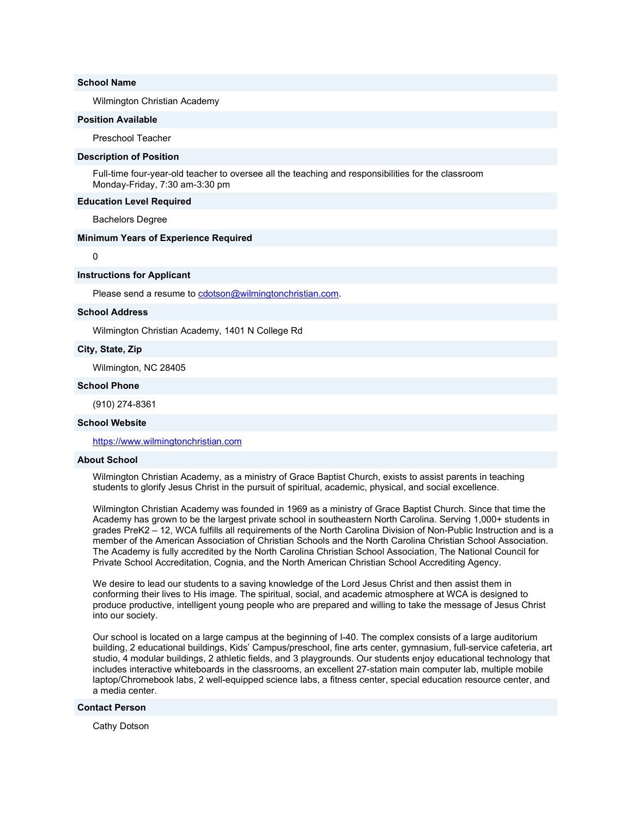# School Name

Wilmington Christian Academy

#### Position Available

Preschool Teacher

#### Description of Position

Full-time four-year-old teacher to oversee all the teaching and responsibilities for the classroom Monday-Friday, 7:30 am-3:30 pm

#### Education Level Required

Bachelors Degree

## Minimum Years of Experience Required

 $\Omega$ 

#### Instructions for Applicant

Please send a resume to cdotson@wilmingtonchristian.com.

#### School Address

Wilmington Christian Academy, 1401 N College Rd

## City, State, Zip

Wilmington, NC 28405

#### School Phone

(910) 274-8361

# School Website

https://www.wilmingtonchristian.com

# About School

Wilmington Christian Academy, as a ministry of Grace Baptist Church, exists to assist parents in teaching students to glorify Jesus Christ in the pursuit of spiritual, academic, physical, and social excellence.

Wilmington Christian Academy was founded in 1969 as a ministry of Grace Baptist Church. Since that time the Academy has grown to be the largest private school in southeastern North Carolina. Serving 1,000+ students in grades PreK2 – 12, WCA fulfills all requirements of the North Carolina Division of Non-Public Instruction and is a member of the American Association of Christian Schools and the North Carolina Christian School Association. The Academy is fully accredited by the North Carolina Christian School Association, The National Council for Private School Accreditation, Cognia, and the North American Christian School Accrediting Agency.

We desire to lead our students to a saving knowledge of the Lord Jesus Christ and then assist them in conforming their lives to His image. The spiritual, social, and academic atmosphere at WCA is designed to produce productive, intelligent young people who are prepared and willing to take the message of Jesus Christ into our society.

Our school is located on a large campus at the beginning of I-40. The complex consists of a large auditorium building, 2 educational buildings, Kids' Campus/preschool, fine arts center, gymnasium, full-service cafeteria, art studio, 4 modular buildings, 2 athletic fields, and 3 playgrounds. Our students enjoy educational technology that includes interactive whiteboards in the classrooms, an excellent 27-station main computer lab, multiple mobile laptop/Chromebook labs, 2 well-equipped science labs, a fitness center, special education resource center, and a media center.

# Contact Person

Cathy Dotson